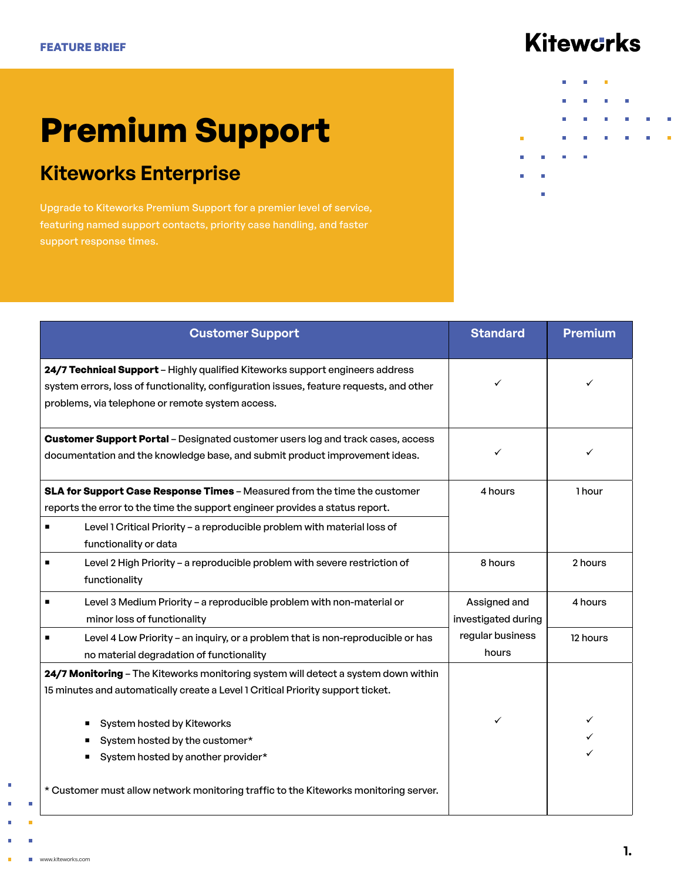# **Kiteworks**

# **Premium Support**

### **Kiteworks Enterprise**

Upgrade to Kiteworks Premium Support for a premier level of service, featuring named support contacts, priority case handling, and faster support response times.

|   |                           | <b>III</b>     |            | <b>In the contract of the contract of the contract of the contract of the contract of the contract of the contract of the contract of the contract of the contract of the contract of the contract of the contract of the contra</b> |               |                |   |
|---|---------------------------|----------------|------------|--------------------------------------------------------------------------------------------------------------------------------------------------------------------------------------------------------------------------------------|---------------|----------------|---|
|   |                           |                |            |                                                                                                                                                                                                                                      |               |                |   |
|   |                           | $\Box$         | <b>II</b>  | <b>The Common</b>                                                                                                                                                                                                                    | <b>TI</b>     |                |   |
|   |                           | <b>College</b> | $\Box$     | $\mathbb{H}$                                                                                                                                                                                                                         | <b>II</b> and | $\Box$         | Π |
|   |                           |                |            |                                                                                                                                                                                                                                      |               |                |   |
|   |                           | <b>III</b>     | <b>III</b> | $\overline{\phantom{a}}$                                                                                                                                                                                                             | $\Box$        | $\mathbb{R}^n$ | ш |
| ۰ | <b>The Common Service</b> | ш              | T.         |                                                                                                                                                                                                                                      |               |                |   |
|   |                           |                |            |                                                                                                                                                                                                                                      |               |                |   |
| П | П                         |                |            |                                                                                                                                                                                                                                      |               |                |   |
|   |                           |                |            |                                                                                                                                                                                                                                      |               |                |   |
|   |                           |                |            |                                                                                                                                                                                                                                      |               |                |   |
|   |                           |                |            |                                                                                                                                                                                                                                      |               |                |   |

| <b>Customer Support</b>                                                                                                                                                                                                                                        | <b>Standard</b>                     | <b>Premium</b> |
|----------------------------------------------------------------------------------------------------------------------------------------------------------------------------------------------------------------------------------------------------------------|-------------------------------------|----------------|
| 24/7 Technical Support - Highly qualified Kiteworks support engineers address<br>system errors, loss of functionality, configuration issues, feature requests, and other<br>problems, via telephone or remote system access.                                   |                                     |                |
| <b>Customer Support Portal</b> - Designated customer users log and track cases, access<br>documentation and the knowledge base, and submit product improvement ideas.                                                                                          | ✓                                   |                |
| SLA for Support Case Response Times - Measured from the time the customer<br>reports the error to the time the support engineer provides a status report.<br>Level 1 Critical Priority - a reproducible problem with material loss of<br>functionality or data | 4 hours                             | 1 hour         |
| Level 2 High Priority - a reproducible problem with severe restriction of<br>functionality                                                                                                                                                                     | 8 hours                             | 2 hours        |
| Level 3 Medium Priority - a reproducible problem with non-material or<br>minor loss of functionality                                                                                                                                                           | Assigned and<br>investigated during | 4 hours        |
| Level 4 Low Priority - an inquiry, or a problem that is non-reproducible or has<br>no material degradation of functionality                                                                                                                                    | regular business<br>hours           | 12 hours       |
| 24/7 Monitoring - The Kiteworks monitoring system will detect a system down within<br>15 minutes and automatically create a Level 1 Critical Priority support ticket.                                                                                          |                                     |                |
| System hosted by Kiteworks<br>System hosted by the customer*<br>System hosted by another provider*<br>* Customer must allow network monitoring traffic to the Kiteworks monitoring server.                                                                     |                                     |                |

×